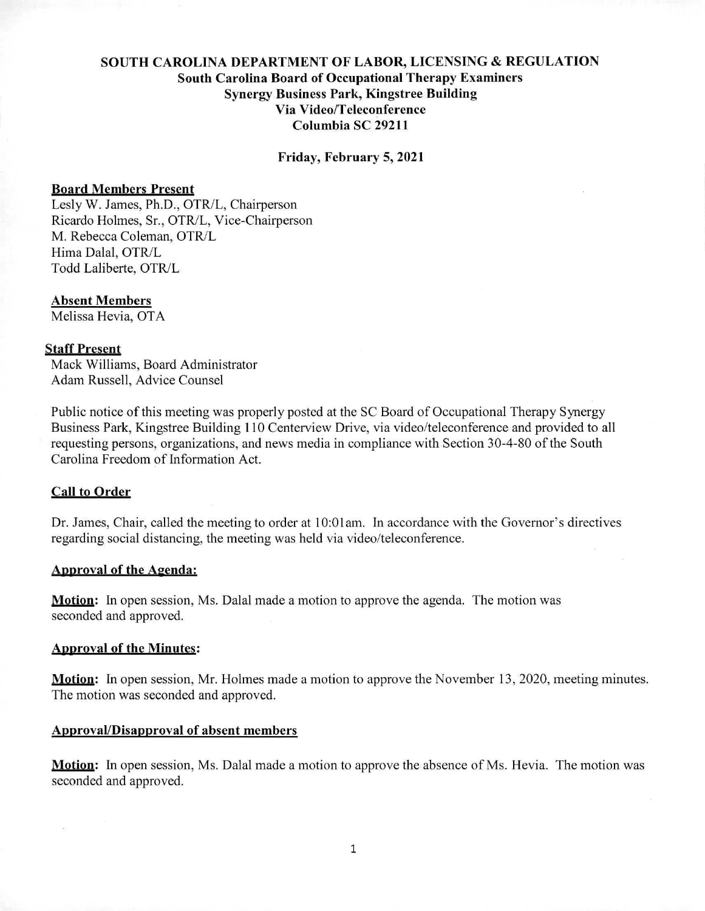# **SOUTH CAROLINA DEPARTMENT OF LABOR, LICENSING & REGULATION South Carolina Board of Occupational Therapy Examiners Synergy Business Park, Kingstree Building Via Video/Teleconference Columbia SC 29211**

**Friday, February 5,2021** 

#### **Board Members** Present

Lesly W. James, Ph.D., OTR/L, Chairperson Ricardo Holmes, Sr., OTR/L, Vice-Chairperson M. Rebecca Coleman, OTR/L Hima Dalal, OTR/L Todd Laliberte, OTR/L

#### **Absent Members**

Melissa Hevia, OTA

## **Staff Present**

Mack Williams, Board Administrator Adam Russell, Advice Counsel

Public notice of this meeting was properly posted at the SC Board of Occupational Therapy Synergy Business Park, Kingstree Building 110 Centerview Drive, via video/teleconference and provided to all requesting persons, organizations, and news media in compliance with Section 30-4-80 of the South Carolina Freedom of Information Act.

## **Call to Order**

Dr. James, Chair, called the meeting to order at 10:01am. In accordance with the Governor's directives regarding social distancing, the meeting was held via video/teleconference.

## Approval of the Agenda:

**Motion:** In open session, Ms. Dalal made a motion to approve the agenda. The motion was seconded and approved.

#### Approval of **the Minutes:**

**Motion:** In open session, Mr. Holmes made a motion to approve the November 13, 2020, meeting minutes. The motion was seconded and approved.

#### **Approval/Disapproval of absent members**

**Motion:** In open session, Ms. Dalal made a motion to approve the absence of Ms. Hevia. The motion was seconded and approved.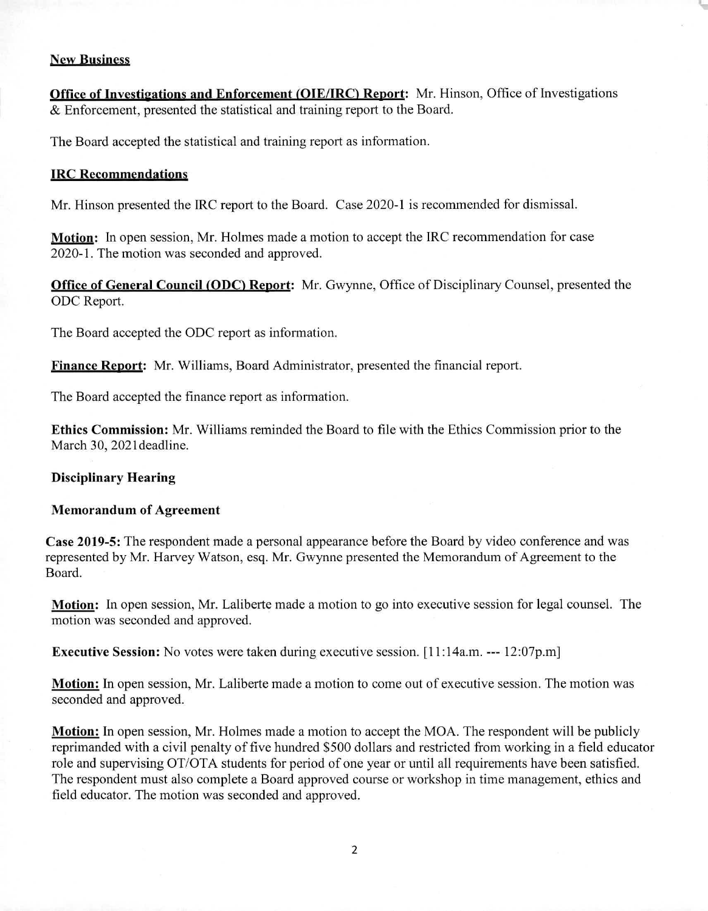## New Business

Office of Investigations and Enforcement (OIE/IRC) Report: Mr. Hinson, Office of Investigations & Enforcement, presented the statistical and training report to the Board.

The Board accepted the statistical and training report as information.

## **[RC Recommendations**

Mr. Hinson presented the IRC report to the Board. Case 2020-1 is recommended for dismissal.

**Motion:** In open session, Mr. Holmes made a motion to accept the IRC recommendation for case 2020-1. The motion was seconded and approved.

**Office of General Council (ODC) Report:** Mr. Gwynne, Office of Disciplinary Counsel, presented the ODC Report.

The Board accepted the ODC report as information.

**Finance Report:** Mr. Williams, Board Administrator, presented the financial report.

The Board accepted the finance report as information.

**Ethics Commission:** Mr. Williams reminded the Board to file with the Ethics Commission prior to the March 30, 2021deadline.

## **Disciplinary Hearing**

## **Memorandum of Agreement**

**Case 2019-5:** The respondent made a personal appearance before the Board by video conference and was represented by Mr. Harvey Watson, esq. Mr. Gwynne presented the Memorandum of Agreement to the Board.

**Motion:** In open session, Mr. Laliberte made a motion to go into executive session for legal counsel. The motion was seconded and approved.

**Executive Session:** No votes were taken during executive session. [11:14a.m. --- 12:07p.m]

**Motion:** In open session, Mr. Laliberte made a motion to come out of executive session. The motion was seconded and approved.

**Motion:** In open session, Mr. Holmes made a motion to accept the MOA. The respondent will be publicly reprimanded with a civil penalty of five hundred \$500 dollars and restricted from working in a field educator role and supervising OT/OTA students for period of one year or until all requirements have been satisfied. The respondent must also complete a Board approved course or workshop in time management, ethics and field educator. The motion was seconded and approved.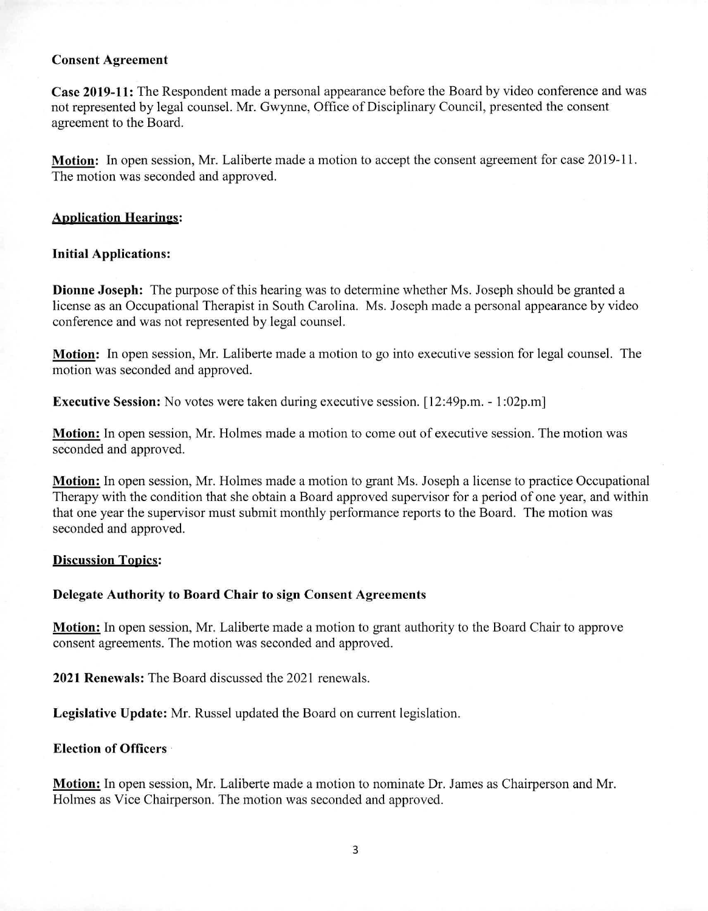## **Consent Agreement**

**Case 2019-11:** The Respondent made a personal appearance before the Board by video conference and was not represented by legal counsel. Mr. Gwynne, Office of Disciplinary Council, presented the consent agreement to the Board.

**Motion:** In open session, Mr. Laliberte made a motion to accept the consent agreement for case 2019-11. The motion was seconded and approved.

## Application **Hearing:**

## **Initial Applications:**

**Dionne Joseph:** The purpose of this hearing was to determine whether Ms. Joseph should be granted a license as an Occupational Therapist in South Carolina. Ms. Joseph made a personal appearance by video conference and was not represented by legal counsel.

**Motion:** In open session, Mr. Laliberte made a motion to go into executive session for legal counsel. The motion was seconded and approved.

**Executive Session:** No votes were taken during executive session. [12:49p.m. - 1:02p.m]

**Motion:** In open session, Mr. Holmes made a motion to come out of executive session. The motion was seconded and approved.

**Motion:** In open session, Mr. Holmes made a motion to grant Ms. Joseph a license to practice Occupational Therapy with the condition that she obtain a Board approved supervisor for a period of one year, and within that one year the supervisor must submit monthly performance reports to the Board. The motion was seconded and approved.

## **Discussion Topics:**

## **Delegate Authority to Board Chair to sign Consent Agreements**

**Motion:** In open session, Mr. Laliberte made a motion to grant authority to the Board Chair to approve consent agreements. The motion was seconded and approved.

**2021 Renewals:** The Board discussed the 2021 renewals.

**Legislative Update:** Mr. Russel updated the Board on current legislation.

## **Election of Officers** •

**Motion:** In open session, Mr. Laliberte made a motion to nominate Dr. James as Chairperson and Mr. Holmes as Vice Chairperson. The motion was seconded and approved.